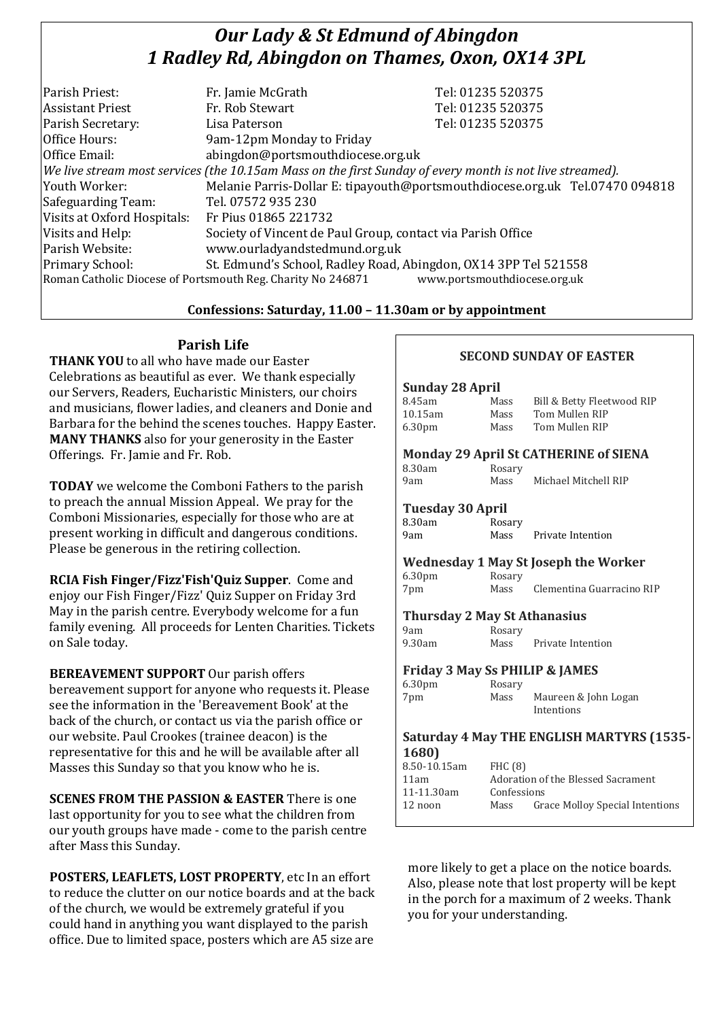# *Our Lady & St Edmund of Abingdon 1 Radley Rd, Abingdon on Thames, Oxon, OX14 3PL*

| Parish Priest:                                                                                           | Fr. Jamie McGrath                                                            | Tel: 01235 520375 |  |
|----------------------------------------------------------------------------------------------------------|------------------------------------------------------------------------------|-------------------|--|
| <b>Assistant Priest</b>                                                                                  | Fr. Rob Stewart                                                              | Tel: 01235 520375 |  |
| Parish Secretary:                                                                                        | Lisa Paterson                                                                | Tel: 01235 520375 |  |
| Office Hours:                                                                                            | 9am-12pm Monday to Friday                                                    |                   |  |
| Office Email:                                                                                            | abingdon@portsmouthdiocese.org.uk                                            |                   |  |
| We live stream most services (the 10.15am Mass on the first Sunday of every month is not live streamed). |                                                                              |                   |  |
| Youth Worker:                                                                                            | Melanie Parris-Dollar E: tipayouth@portsmouthdiocese.org.uk Tel.07470 094818 |                   |  |
| Safeguarding Team:                                                                                       | Tel. 07572 935 230                                                           |                   |  |
| Visits at Oxford Hospitals:                                                                              | Fr Pius 01865 221732                                                         |                   |  |
| Visits and Help:                                                                                         | Society of Vincent de Paul Group, contact via Parish Office                  |                   |  |
| Parish Website:                                                                                          | www.ourladyandstedmund.org.uk                                                |                   |  |
| Primary School:                                                                                          | St. Edmund's School, Radley Road, Abingdon, OX14 3PP Tel 521558              |                   |  |
| Roman Catholic Diocese of Portsmouth Reg. Charity No 246871<br>www.portsmouthdiocese.org.uk              |                                                                              |                   |  |

### **Confessions: Saturday, 11.00 – 11.30am or by appointment**

## **Parish Life**

**THANK YOU** to all who have made our Easter Celebrations as beautiful as ever. We thank especially our Servers, Readers, Eucharistic Ministers, our choirs and musicians, flower ladies, and cleaners and Donie and Barbara for the behind the scenes touches. Happy Easter. **MANY THANKS** also for your generosity in the Easter Offerings. Fr. Jamie and Fr. Rob.

**TODAY** we welcome the Comboni Fathers to the parish to preach the annual Mission Appeal. We pray for the Comboni Missionaries, especially for those who are at present working in difficult and dangerous conditions. Please be generous in the retiring collection.

**RCIA Fish Finger/Fizz'Fish'Quiz Supper**. Come and enjoy our Fish Finger/Fizz' Quiz Supper on Friday 3rd May in the parish centre. Everybody welcome for a fun family evening. All proceeds for Lenten Charities. Tickets on Sale today.

**BEREAVEMENT SUPPORT** Our parish offers bereavement support for anyone who requests it. Please see the information in the 'Bereavement Book' at the back of the church, or contact us via the parish office or our website. Paul Crookes (trainee deacon) is the representative for this and he will be available after all Masses this Sunday so that you know who he is.

**SCENES FROM THE PASSION & EASTER** There is one last opportunity for you to see what the children from our youth groups have made - come to the parish centre after Mass this Sunday.

**POSTERS, LEAFLETS, LOST PROPERTY**, etc In an effort to reduce the clutter on our notice boards and at the back of the church, we would be extremely grateful if you could hand in anything you want displayed to the parish office. Due to limited space, posters which are A5 size are

| <b>SECOND SUNDAY OF EASTER</b>                   |                                    |                                        |  |  |
|--------------------------------------------------|------------------------------------|----------------------------------------|--|--|
| Sunday 28 April                                  |                                    |                                        |  |  |
| 8.45am                                           | Mass                               | Bill & Betty Fleetwood RIP             |  |  |
| 10.15am                                          | Mass                               | Tom Mullen RIP                         |  |  |
| 6.30 <sub>pm</sub>                               | Mass                               | Tom Mullen RIP                         |  |  |
| <b>Monday 29 April St CATHERINE of SIENA</b>     |                                    |                                        |  |  |
| 8.30am                                           | Rosary                             |                                        |  |  |
| 9am                                              | Mass                               | Michael Mitchell RIP                   |  |  |
| <b>Tuesday 30 April</b>                          |                                    |                                        |  |  |
| 8.30am                                           | Rosary                             |                                        |  |  |
| 9am                                              | Mass                               | Private Intention                      |  |  |
| <b>Wednesday 1 May St Joseph the Worker</b>      |                                    |                                        |  |  |
| 6.30pm                                           | Rosary                             |                                        |  |  |
| 7pm                                              | Mass                               | Clementina Guarracino RIP              |  |  |
| <b>Thursday 2 May St Athanasius</b>              |                                    |                                        |  |  |
| 9am                                              | Rosary                             |                                        |  |  |
| 9.30am                                           | Mass                               | Private Intention                      |  |  |
| <b>Friday 3 May Ss PHILIP &amp; JAMES</b>        |                                    |                                        |  |  |
| 6.30pm                                           | Rosary                             |                                        |  |  |
| 7pm                                              | Mass                               | Maureen & John Logan<br>Intentions     |  |  |
| <b>Saturday 4 May THE ENGLISH MARTYRS (1535-</b> |                                    |                                        |  |  |
| 1680)                                            |                                    |                                        |  |  |
| 8.50-10.15am                                     | FHC (8)                            |                                        |  |  |
| 11am                                             | Adoration of the Blessed Sacrament |                                        |  |  |
| 11-11.30am                                       |                                    | Confessions                            |  |  |
| 12 noon                                          | Mass                               | <b>Grace Molloy Special Intentions</b> |  |  |

more likely to get a place on the notice boards. Also, please note that lost property will be kept in the porch for a maximum of 2 weeks. Thank you for your understanding.